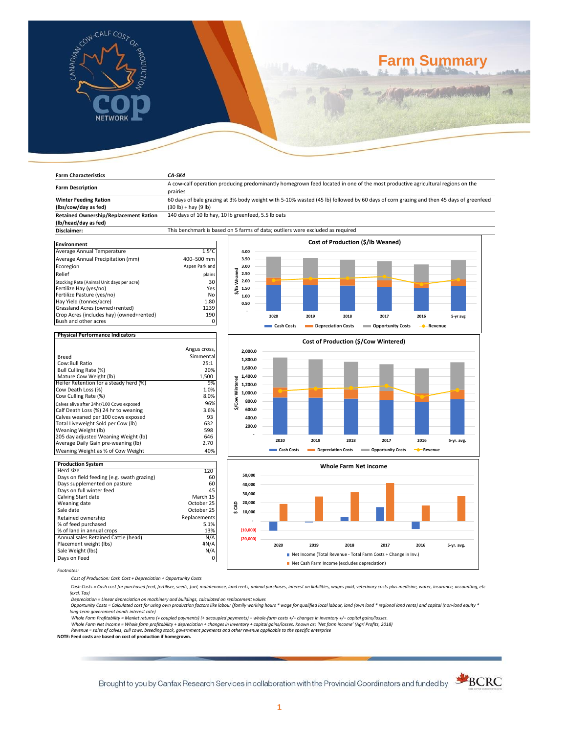

**Farm Characteristics** *CA-SK4*

# **Farm Summary**

| <b>Farm Description</b>                                                    | A cow-calf operation producing predominantly homegrown feed located in one of the most productive agricultural regions on the<br>prairies |                                   |                                      |                    |                    |                           |                        |            |  |  |
|----------------------------------------------------------------------------|-------------------------------------------------------------------------------------------------------------------------------------------|-----------------------------------|--------------------------------------|--------------------|--------------------|---------------------------|------------------------|------------|--|--|
| <b>Winter Feeding Ration</b>                                               | 60 days of bale grazing at 3% body weight with 5-10% wasted (45 lb) followed by 60 days of corn grazing and then 45 days of greenfeed     |                                   |                                      |                    |                    |                           |                        |            |  |  |
| (lbs/cow/day as fed)                                                       | $(30 lb) + hay (9 lb)$                                                                                                                    |                                   |                                      |                    |                    |                           |                        |            |  |  |
| <b>Retained Ownership/Replacement Ration</b>                               | 140 days of 10 lb hay, 10 lb greenfeed, 5.5 lb oats                                                                                       |                                   |                                      |                    |                    |                           |                        |            |  |  |
| (lb/head/day as fed)                                                       |                                                                                                                                           |                                   |                                      |                    |                    |                           |                        |            |  |  |
| Disclaimer:                                                                | This benchmark is based on 5 farms of data; outliers were excluded as required                                                            |                                   |                                      |                    |                    |                           |                        |            |  |  |
| <b>Environment</b>                                                         |                                                                                                                                           | Cost of Production (\$/lb Weaned) |                                      |                    |                    |                           |                        |            |  |  |
| Average Annual Temperature                                                 | $1.5^{\circ}$ C                                                                                                                           | 4.00                              |                                      |                    |                    |                           |                        |            |  |  |
| Average Annual Precipitation (mm)                                          | 400-500 mm                                                                                                                                | 3.50                              |                                      |                    |                    |                           |                        |            |  |  |
| Ecoregion                                                                  | Aspen Parkland                                                                                                                            | 3.00                              |                                      |                    |                    |                           |                        |            |  |  |
| Relief                                                                     | plains                                                                                                                                    | Weaned<br>2.50                    |                                      |                    |                    |                           |                        |            |  |  |
| Stocking Rate (Animal Unit days per acre)                                  | 30                                                                                                                                        | 2.00                              |                                      |                    |                    |                           |                        |            |  |  |
| Fertilize Hay (yes/no)                                                     | Yes                                                                                                                                       | $\frac{1}{2}$<br>1.50             |                                      |                    |                    |                           |                        |            |  |  |
| Fertilize Pasture (yes/no)                                                 | No                                                                                                                                        | 1.00                              |                                      |                    |                    |                           |                        |            |  |  |
| Hay Yield (tonnes/acre)                                                    | 1.80                                                                                                                                      | 0.50                              |                                      |                    |                    |                           |                        |            |  |  |
| Grassland Acres (owned+rented)                                             | 1239                                                                                                                                      |                                   |                                      |                    |                    |                           |                        |            |  |  |
| Crop Acres (includes hay) (owned+rented)<br>Bush and other acres           | 190<br>0                                                                                                                                  |                                   | 2020                                 | 2019               | 2018               | 2017                      | 2016                   | 5-yr avg   |  |  |
|                                                                            |                                                                                                                                           |                                   | Cash Costs                           | Depreciation Costs |                    | <b>Copportunity Costs</b> | - Revenue              |            |  |  |
| <b>Physical Performance Indicators</b>                                     |                                                                                                                                           |                                   |                                      |                    |                    |                           |                        |            |  |  |
|                                                                            |                                                                                                                                           |                                   | Cost of Production (\$/Cow Wintered) |                    |                    |                           |                        |            |  |  |
|                                                                            | Angus cross,                                                                                                                              | 2,000.0                           |                                      |                    |                    |                           |                        |            |  |  |
| <b>Breed</b>                                                               | Simmental                                                                                                                                 |                                   |                                      |                    |                    |                           |                        |            |  |  |
| Cow:Bull Ratio                                                             | 25:1                                                                                                                                      | 1,800.0                           |                                      |                    |                    |                           |                        |            |  |  |
| Bull Culling Rate (%)                                                      | 20%                                                                                                                                       | 1,600.0                           |                                      |                    |                    |                           |                        |            |  |  |
| Mature Cow Weight (lb)                                                     | 1,500                                                                                                                                     | 1,400.0                           |                                      |                    |                    |                           |                        |            |  |  |
| Heifer Retention for a steady herd (%)                                     | 9%                                                                                                                                        | 1,200.0                           |                                      |                    |                    |                           |                        |            |  |  |
| Cow Death Loss (%)                                                         | 1.0%                                                                                                                                      | Wintered<br>1,000.0               |                                      |                    |                    |                           |                        |            |  |  |
| Cow Culling Rate (%)                                                       | 8.0%                                                                                                                                      | \$/Cow<br>800.0                   |                                      |                    |                    |                           |                        |            |  |  |
| Calves alive after 24hr/100 Cows exposed                                   | 96%                                                                                                                                       | 600.0                             |                                      |                    |                    |                           |                        |            |  |  |
| Calf Death Loss (%) 24 hr to weaning<br>Calves weaned per 100 cows exposed | 3.6%<br>93                                                                                                                                |                                   |                                      |                    |                    |                           |                        |            |  |  |
| Total Liveweight Sold per Cow (lb)                                         | 632                                                                                                                                       | 400.0                             |                                      |                    |                    |                           |                        |            |  |  |
| Weaning Weight (lb)                                                        | 598                                                                                                                                       | 200.0                             |                                      |                    |                    |                           |                        |            |  |  |
| 205 day adjusted Weaning Weight (lb)                                       | 646                                                                                                                                       |                                   |                                      |                    |                    |                           |                        |            |  |  |
| Average Daily Gain pre-weaning (lb)                                        | 2.70                                                                                                                                      |                                   | 2020                                 | 2019               | 2018               | 2017                      | 2016                   | 5-yr. avg. |  |  |
| Weaning Weight as % of Cow Weight                                          | 40%                                                                                                                                       |                                   | Cash Costs                           |                    | Depreciation Costs | Opportunity Costs         | - <sup>-</sup> Revenue |            |  |  |
| <b>Production System</b>                                                   |                                                                                                                                           |                                   |                                      |                    |                    |                           |                        |            |  |  |





*Footnotes:*

*Cost of Production: Cash Cost + Depreciation + Opportunity Costs*

 *Cash Costs = Cash cost for purchased feed, fertiliser, seeds, fuel, maintenance, land rents, animal purchases, interest on liabilities, wages paid, veterinary costs plus medicine, water, insurance, accounting, etc (excl. Tax)* 

Depreciation = Linear depreciation on machinery and buildings, calculated on replacement values<br>Opportunity Costs = Calculated cost for using own production factors like labour (family working hours \* wage for qualified lo *long-term government bonds interest rate)* 

Whole Farm Profitability = Market returns (+ coupled payments) (+ decoupled payments) – whole-farm costs +/– changes in inventory +/– capital gains/losses.<br>Whole Farm Net Income = Whole farm profitability + depreciation +

*Revenue = sales of calves, cull cows, breeding stock, government payments and other revenue applicable to the specific enterprise* **NOTE: Feed costs are based on cost of production if homegrown.**

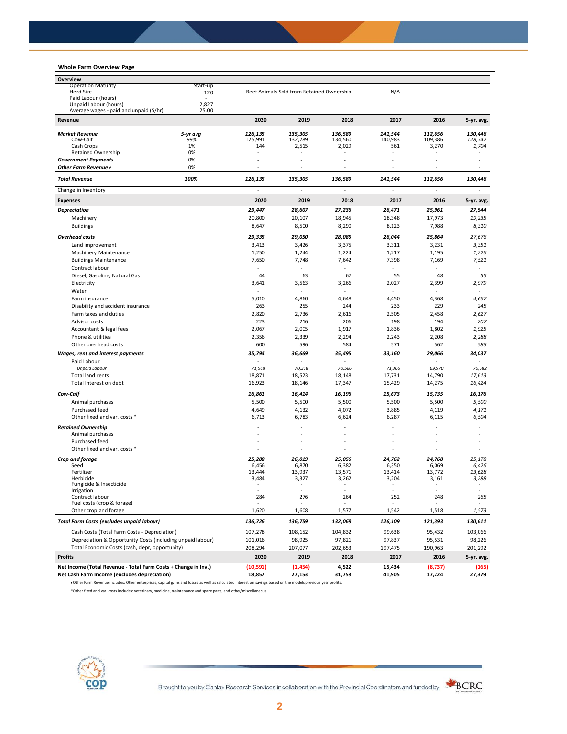# **Whole Farm Overview Page**

| Overview                                                       |          |           |                                           |         |         |          |            |
|----------------------------------------------------------------|----------|-----------|-------------------------------------------|---------|---------|----------|------------|
| <b>Operation Maturity</b>                                      | Start-up |           |                                           |         |         |          |            |
| Herd Size<br>120                                               |          |           | Beef Animals Sold from Retained Ownership |         | N/A     |          |            |
| Paid Labour (hours)<br>Unpaid Labour (hours)                   | 2,827    |           |                                           |         |         |          |            |
| Average wages - paid and unpaid (\$/hr)                        | 25.00    |           |                                           |         |         |          |            |
| Revenue                                                        |          | 2020      | 2019                                      | 2018    | 2017    | 2016     | 5-yr. avg. |
| <b>Market Revenue</b>                                          | 5-yr avg | 126,135   | 135,305                                   | 136.589 | 141,544 | 112,656  | 130,446    |
| Cow-Calf                                                       | 99%      | 125,991   | 132,789                                   | 134,560 | 140,983 | 109,386  | 128,742    |
| Cash Crops                                                     | 1%       | 144       | 2,515                                     | 2,029   | 561     | 3,270    | 1,704      |
| <b>Retained Ownership</b>                                      | 0%       | ٠         |                                           |         | ٠       |          |            |
| <b>Government Payments</b>                                     | 0%       | ٠         | ä,                                        |         | ٠       |          |            |
| Other Farm Revenue +                                           | 0%       |           |                                           |         |         |          |            |
| <b>Total Revenue</b>                                           | 100%     | 126,135   | 135,305                                   | 136,589 | 141.544 | 112,656  | 130,446    |
| Change in Inventory                                            |          |           |                                           |         |         |          |            |
| <b>Expenses</b>                                                |          | 2020      | 2019                                      | 2018    | 2017    | 2016     | 5-yr. avg. |
| <b>Depreciation</b>                                            |          | 29,447    | 28,607                                    | 27,236  | 26,471  | 25,961   | 27,544     |
| Machinery                                                      |          | 20,800    | 20,107                                    | 18,945  | 18,348  | 17,973   | 19,235     |
| <b>Buildings</b>                                               |          | 8,647     | 8,500                                     | 8,290   | 8,123   | 7,988    | 8,310      |
| <b>Overhead costs</b>                                          |          | 29,335    | 29,050                                    | 28,085  | 26,044  | 25,864   | 27,676     |
| Land improvement                                               |          | 3,413     | 3,426                                     | 3,375   | 3,311   | 3,231    | 3,351      |
| <b>Machinery Maintenance</b>                                   |          | 1,250     | 1,244                                     | 1,224   | 1,217   | 1,195    | 1,226      |
| <b>Buildings Maintenance</b>                                   |          | 7,650     | 7,748                                     | 7,642   | 7,398   | 7,169    | 7,521      |
| Contract labour                                                |          |           |                                           |         |         |          |            |
| Diesel, Gasoline, Natural Gas                                  |          | 44        | 63                                        | 67      | 55      | 48       | 55         |
| Electricity                                                    |          | 3,641     | 3,563                                     | 3,266   | 2,027   | 2,399    | 2,979      |
| Water                                                          |          |           |                                           |         |         |          |            |
| Farm insurance                                                 |          | 5,010     | 4,860                                     | 4,648   | 4,450   | 4,368    | 4,667      |
| Disability and accident insurance                              |          | 263       | 255                                       | 244     | 233     | 229      | 245        |
| Farm taxes and duties                                          |          | 2,820     | 2,736                                     | 2,616   | 2,505   | 2,458    | 2,627      |
| Advisor costs                                                  |          | 223       | 216                                       | 206     | 198     | 194      | 207        |
| Accountant & legal fees                                        |          | 2,067     | 2,005                                     | 1,917   | 1,836   | 1,802    | 1,925      |
| Phone & utilities                                              |          | 2,356     | 2,339                                     | 2,294   | 2,243   | 2,208    | 2,288      |
| Other overhead costs                                           |          | 600       | 596                                       | 584     | 571     | 562      | 583        |
| Wages, rent and interest payments                              |          | 35,794    | 36,669                                    | 35,495  | 33,160  | 29,066   | 34,037     |
| Paid Labour                                                    |          |           |                                           |         |         |          |            |
| <b>Unpaid Labour</b>                                           |          | 71,568    | 70,318                                    | 70,586  | 71,366  | 69,570   | 70,682     |
| <b>Total land rents</b>                                        |          | 18,871    | 18,523                                    | 18,148  | 17,731  | 14,790   | 17,613     |
| Total Interest on debt                                         |          | 16,923    | 18,146                                    | 17,347  | 15,429  | 14,275   | 16,424     |
|                                                                |          |           |                                           |         |         |          |            |
| Cow-Calf                                                       |          | 16,861    | 16,414                                    | 16,196  | 15,673  | 15,735   | 16,176     |
| Animal purchases                                               |          | 5,500     | 5,500                                     | 5,500   | 5,500   | 5,500    | 5,500      |
| Purchased feed                                                 |          | 4,649     | 4,132                                     | 4,072   | 3,885   | 4,119    | 4,171      |
| Other fixed and var. costs *                                   |          | 6,713     | 6,783                                     | 6,624   | 6,287   | 6,115    | 6,504      |
| <b>Retained Ownership</b>                                      |          |           |                                           |         |         |          |            |
| Animal purchases                                               |          |           |                                           |         |         |          |            |
| Purchased feed                                                 |          | ٠         |                                           |         |         |          |            |
| Other fixed and var. costs *                                   |          |           |                                           |         |         |          |            |
| Crop and forage                                                |          | 25,288    | 26,019                                    | 25,056  | 24,762  | 24,768   | 25,178     |
| Seed                                                           |          | 6,456     | 6,870                                     | 6,382   | 6,350   | 6,069    | 6,426      |
| Fertilizer                                                     |          | 13,444    | 13,937                                    | 13,571  | 13,414  | 13,772   | 13,628     |
| Herbicide<br>Fungicide & Insecticide                           |          | 3,484     | 3,327                                     | 3,262   | 3,204   | 3,161    | 3,288      |
| migation                                                       |          |           |                                           |         |         |          |            |
| Contract labour                                                |          | 284       | 276                                       | 264     | 252     | 248      | 265        |
| Fuel costs (crop & forage)                                     |          |           |                                           |         |         |          |            |
| Other crop and forage                                          |          | 1,620     | 1,608                                     | 1,577   | 1,542   | 1,518    | 1,573      |
| <b>Total Farm Costs (excludes unpaid labour)</b>               |          | 136,726   | 136,759                                   | 132,068 | 126,109 | 121,393  | 130,611    |
| Cash Costs (Total Farm Costs - Depreciation)                   |          | 107,278   | 108,152                                   | 104,832 | 99,638  | 95,432   | 103,066    |
| Depreciation & Opportunity Costs (including unpaid labour)     |          | 101,016   | 98,925                                    | 97,821  | 97,837  | 95,531   | 98,226     |
| Total Economic Costs (cash, depr, opportunity)                 |          | 208,294   | 207,077                                   | 202,653 | 197,475 | 190,963  | 201,292    |
| <b>Profits</b>                                                 |          | 2020      | 2019                                      | 2018    | 2017    | 2016     | 5-yr. avg. |
| Net Income (Total Revenue - Total Farm Costs + Change in Inv.) |          | (10, 591) | (1, 454)                                  | 4,522   | 15,434  | (8, 737) | (165)      |
| Net Cash Farm Income (excludes depreciation)                   |          | 18,857    | 27,153                                    | 31,758  | 41,905  | 17,224   | 27,379     |

ᵻ Other Farm Revenue includes: Other enterprises, capital gains and losses as well as calculated interest on savings based on the models previous year profits.

\*Other fixed and var. costs includes: veterinary, medicine, maintenance and spare parts, and other/miscellaneous

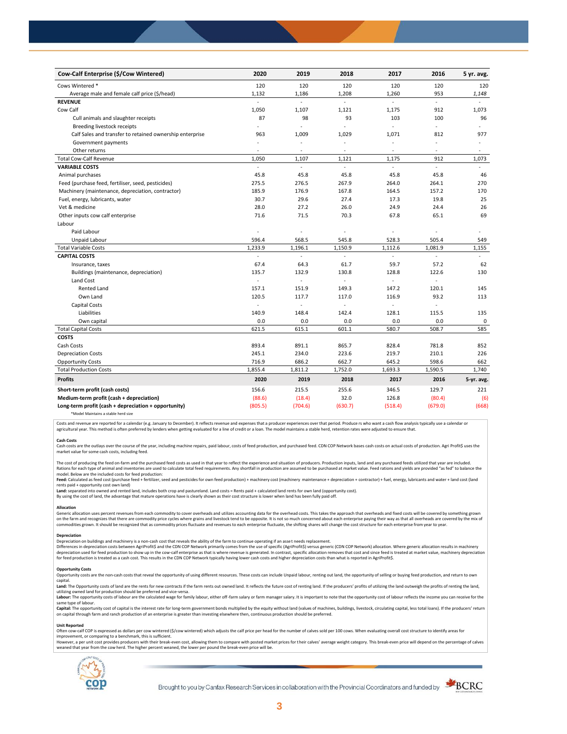| Cow-Calf Enterprise (\$/Cow Wintered)                    | 2020           | 2019                     | 2018                     | 2017                     | 2016     | 5 yr. avg.     |
|----------------------------------------------------------|----------------|--------------------------|--------------------------|--------------------------|----------|----------------|
| Cows Wintered *                                          | 120            | 120                      | 120                      | 120                      | 120      | 120            |
| Average male and female calf price (\$/head)             | 1,132          | 1,186                    | 1,208                    | 1,260                    | 953      | 1,148          |
| <b>REVENUE</b>                                           | $\overline{a}$ | $\overline{a}$           | L.                       | ä,                       | $\omega$ |                |
| Cow Calf                                                 | 1,050          | 1,107                    | 1,121                    | 1,175                    | 912      | 1,073          |
| Cull animals and slaughter receipts                      | 87             | 98                       | 93                       | 103                      | 100      | 96             |
| Breeding livestock receipts                              | ÷.             | ä,                       | ä,                       | ä,                       | $\sim$   |                |
| Calf Sales and transfer to retained ownership enterprise | 963            | 1,009                    | 1,029                    | 1,071                    | 812      | 977            |
| Government payments                                      | $\sim$         | ÷,                       | ÷,                       | $\sim$                   | ÷,       | $\blacksquare$ |
| Other returns                                            | $\overline{a}$ | $\overline{\phantom{a}}$ | $\overline{\phantom{a}}$ | $\overline{\phantom{a}}$ | ÷,       | $\sim$         |
| <b>Total Cow-Calf Revenue</b>                            | 1,050          | 1,107                    | 1,121                    | 1,175                    | 912      | 1,073          |
| <b>VARIABLE COSTS</b>                                    | $\blacksquare$ | L.                       | à.                       | ä,                       | ä,       | $\sim$         |
| Animal purchases                                         | 45.8           | 45.8                     | 45.8                     | 45.8                     | 45.8     | 46             |
| Feed (purchase feed, fertiliser, seed, pesticides)       | 275.5          | 276.5                    | 267.9                    | 264.0                    | 264.1    | 270            |
| Machinery (maintenance, depreciation, contractor)        | 185.9          | 176.9                    | 167.8                    | 164.5                    | 157.2    | 170            |
| Fuel, energy, lubricants, water                          | 30.7           | 29.6                     | 27.4                     | 17.3                     | 19.8     | 25             |
| Vet & medicine                                           | 28.0           | 27.2                     | 26.0                     | 24.9                     | 24.4     | 26             |
| Other inputs cow calf enterprise                         | 71.6           | 71.5                     | 70.3                     | 67.8                     | 65.1     | 69             |
| Labour                                                   |                |                          |                          |                          |          |                |
| Paid Labour                                              | ÷,             | ÷,                       | ä,                       | ÷                        | ÷,       |                |
| Unpaid Labour                                            | 596.4          | 568.5                    | 545.8                    | 528.3                    | 505.4    | 549            |
| <b>Total Variable Costs</b>                              | 1,233.9        | 1,196.1                  | 1,150.9                  | 1,112.6                  | 1,081.9  | 1,155          |
| <b>CAPITAL COSTS</b>                                     |                |                          |                          |                          |          |                |
| Insurance, taxes                                         | 67.4           | 64.3                     | 61.7                     | 59.7                     | 57.2     | 62             |
| Buildings (maintenance, depreciation)                    | 135.7          | 132.9                    | 130.8                    | 128.8                    | 122.6    | 130            |
| Land Cost                                                | ä,             | ä,                       | ÷,                       |                          |          |                |
| <b>Rented Land</b>                                       | 157.1          | 151.9                    | 149.3                    | 147.2                    | 120.1    | 145            |
| Own Land                                                 | 120.5          | 117.7                    | 117.0                    | 116.9                    | 93.2     | 113            |
| <b>Capital Costs</b>                                     | ÷,             | ÷,                       |                          | ÷                        |          |                |
| Liabilities                                              | 140.9          | 148.4                    | 142.4                    | 128.1                    | 115.5    | 135            |
| Own capital                                              | 0.0            | 0.0                      | 0.0                      | 0.0                      | 0.0      | $\mathbf 0$    |
| <b>Total Capital Costs</b>                               | 621.5          | 615.1                    | 601.1                    | 580.7                    | 508.7    | 585            |
| <b>COSTS</b>                                             |                |                          |                          |                          |          |                |
| Cash Costs                                               | 893.4          | 891.1                    | 865.7                    | 828.4                    | 781.8    | 852            |
| <b>Depreciation Costs</b>                                | 245.1          | 234.0                    | 223.6                    | 219.7                    | 210.1    | 226            |
| <b>Opportunity Costs</b>                                 | 716.9          | 686.2                    | 662.7                    | 645.2                    | 598.6    | 662            |
| <b>Total Production Costs</b>                            | 1,855.4        | 1,811.2                  | 1,752.0                  | 1,693.3                  | 1,590.5  | 1,740          |
| <b>Profits</b>                                           | 2020           | 2019                     | 2018                     | 2017                     | 2016     | 5-yr. avg.     |
| Short-term profit (cash costs)                           | 156.6          | 215.5                    | 255.6                    | 346.5                    | 129.7    | 221            |
| Medium-term profit (cash + depreciation)                 | (88.6)         | (18.4)                   | 32.0                     | 126.8                    | (80.4)   | (6)            |
| Long-term profit (cash + depreciation + opportunity)     | (805.5)        | (704.6)                  | (630.7)                  | (518.4)                  | (679.0)  | (668)          |
|                                                          |                |                          |                          |                          |          |                |

\*Model Maintains a stable herd size

Costs and revenue are reported for a calendar (e.g. January to December). It reflects revenue and expenses that a producer experiences over that period. Produce rs who want a cash flow analysis typically use a calendar or agricultural year. This method is often preferred by lenders when getting evaluated for a line of credit or a loan. The model maintains a stable herd, retention rates were adjusted to ensure that

**Cash Costs**<br>Cash costs are the outlays over the course of the year, including machine repairs, paid labour, costs of feed production, and purchased feed. CDN COP Network bases cash costs on actual costs of production. Agr market value for some cash costs, including feed.

The cost of producing the feed on-farm and the purchased feed costs as used in that year to reflect the experience and situation of producers. Production inputs, land and any purchased feeds utilized that year are included model. Below are the included costs for feed production:

## moder.com/what we musule control feed + fertilizer, seed and pesticides for own feed production) + machinery cost (machinery maintenance + depreciation + contractor) + fuel, energy, lubricants and water + land cost (land rents paid + opportunity cost own land)

**Land:** separated into owned and rented land, includes both crop and pastureland. Land costs = Rents paid + calculated land rents for own land (opportunity cost).

By using the cost of land, the advantage that mature operations have is clearly shown as their cost structure is lower when land has been fully paid off.

# **Allocation**

Generic allocation uses percent revenues from each commodity to cover overheads and utilizes accounting data for the overhead costs. This takes the approach that overheads and fixed costs will be covered by something grown commodities grown. It should be recognized that as commodity prices fluctuate and revenues to each enterprise fluctuate, the shifting shares will change the cost structure for each enterprise from year to year.

# **Depreciation**

Depreciation on buildings and machinery is a non-cash cost that reveals the ability of the farm to continue operating if an asset needs replacement. Differences in depreciation costs between AgriProfit\$ and the CDN COP Network primarily comes from the use of specific (AgriProfit\$) versus generic (CDN COP Network) allocation. Where generic allocation results in machiner

### **Opportunity Costs**

Provision the non-cash costs that reveal the opportunity of using different resources. These costs can include Unpaid labour, renting out land, the opportunity of selling or buying feed production, and return to own capital.

Land: The Opportunity costs of land are the rents for new contracts if the farm rents out owned land. It reflects the future cost of renting land. If the producers' profits of utilizing the land outweigh the profits of ren utilizing owned land for production should be preferred and vice-versa.<br>**Labour:** The opportunity costs of labour are the calculated wage for family labour, either off-farm salary or farm manager salary. It is important to

same type of labour.

**Capita**l: The opportunity cost of capital is the interest rate for long-term government bonds multiplied by the equity without land (values of machines, buildings, livestock, circulating capital, less total loans). If the

## **Unit Reported**

Often cow-calf COP is expressed as dollars per cow wintered (\$/cow wintered) which adjusts the calf price per head for the number of calves sold per 100 cows. When evaluating overall cost structure to identify areas for<br>im

however..experimation to the content with the relationship of the break-even cost. allowing them to compare with posted market prices for their calves' average weight category. This break-even price will depend on the perc weaned that year from the cow herd. The higher percent weaned, the lower per pound the break-even price will be.



Brought to you by Canfax Research Services in collaboration with the Provincial Coordinators and funded by